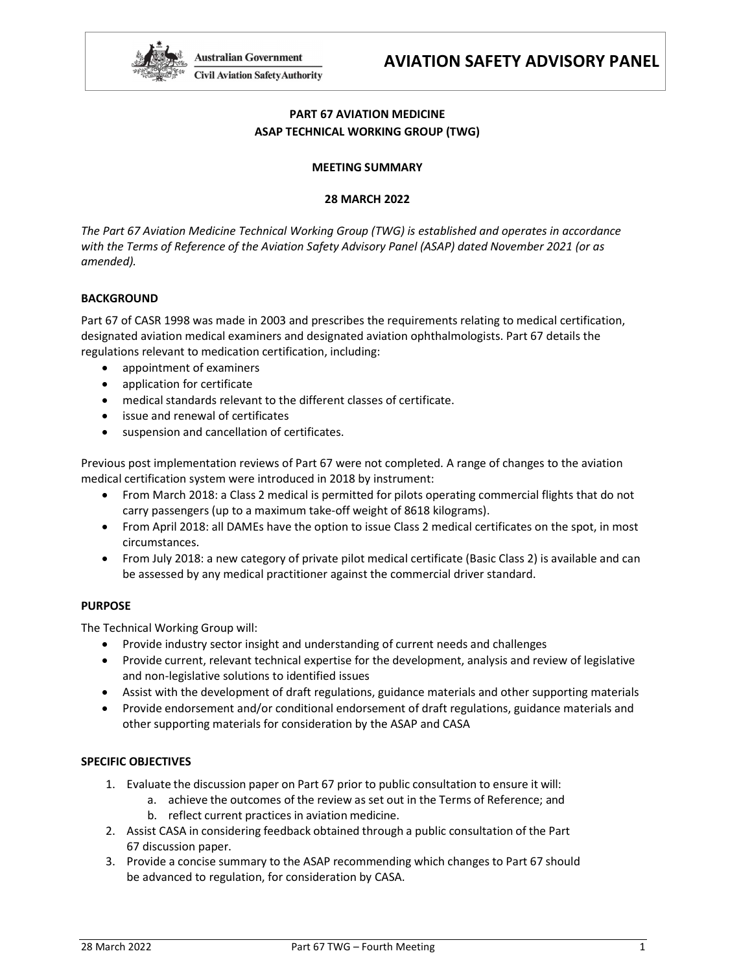

# PART 67 AVIATION MEDICINE ASAP TECHNICAL WORKING GROUP (TWG)

#### MEETING SUMMARY

#### 28 MARCH 2022

 The Part 67 Aviation Medicine Technical Working Group (TWG) is established and operates in accordance with the Terms of Reference of the Aviation Safety Advisory Panel (ASAP) dated November 2021 (or as amended).

## BACKGROUND

 Part 67 of CASR 1998 was made in 2003 and prescribes the requirements relating to medical certification, designated aviation medical examiners and designated aviation ophthalmologists. Part 67 details the regulations relevant to medication certification, including:

- appointment of examiners
- application for certificate
- medical standards relevant to the different classes of certificate.
- issue and renewal of certificates
- suspension and cancellation of certificates.

 Previous post implementation reviews of Part 67 were not completed. A range of changes to the aviation medical certification system were introduced in 2018 by instrument:

- From March 2018: a Class 2 medical is permitted for pilots operating commercial flights that do not carry passengers (up to a maximum take-off weight of 8618 kilograms).
- From April 2018: all DAMEs have the option to issue Class 2 medical certificates on the spot, in most circumstances.
- From July 2018: a new category of private pilot medical certificate (Basic Class 2) is available and can be assessed by any medical practitioner against the commercial driver standard.

#### PURPOSE

The Technical Working Group will:

- Provide industry sector insight and understanding of current needs and challenges
- Provide current, relevant technical expertise for the development, analysis and review of legislative and non-legislative solutions to identified issues
- Assist with the development of draft regulations, guidance materials and other supporting materials
- Provide endorsement and/or conditional endorsement of draft regulations, guidance materials and other supporting materials for consideration by the ASAP and CASA

#### SPECIFIC OBJECTIVES

- 1. Evaluate the discussion paper on Part 67 prior to public consultation to ensure it will:
	- a. achieve the outcomes of the review as set out in the Terms of Reference; and b. reflect current practices in aviation medicine.
- 2. Assist CASA in considering feedback obtained through a public consultation of the Part 67 discussion paper.
- 3. Provide a concise summary to the ASAP recommending which changes to Part 67 should be advanced to regulation, for consideration by CASA.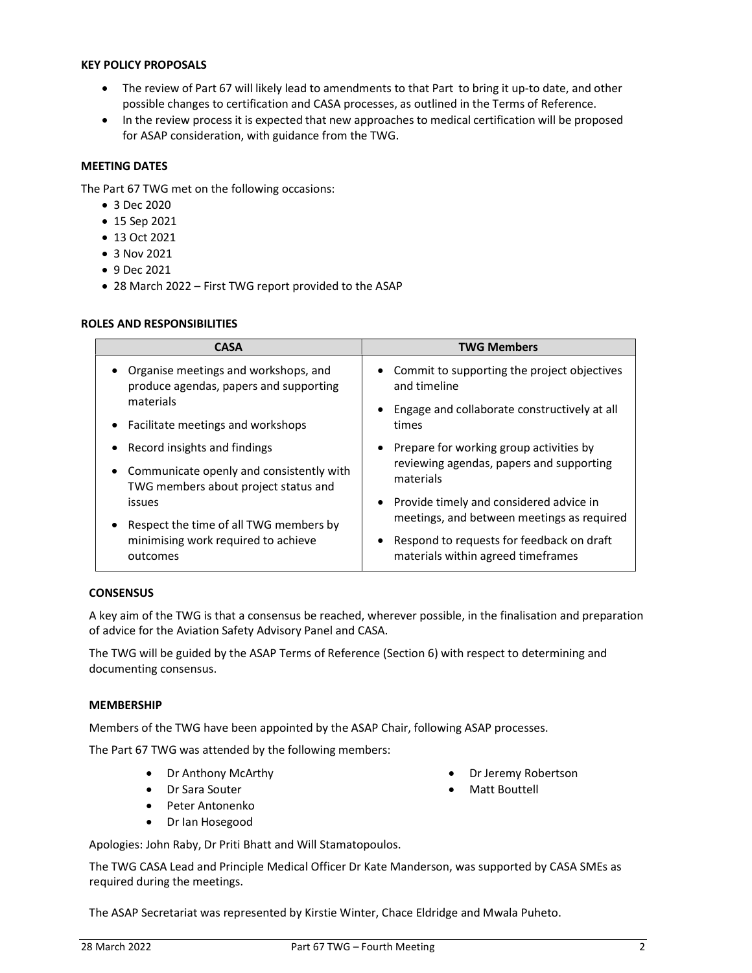#### KEY POLICY PROPOSALS

- The review of Part 67 will likely lead to amendments to that Part to bring it up-to date, and other possible changes to certification and CASA processes, as outlined in the Terms of Reference.
- In the review process it is expected that new approaches to medical certification will be proposed for ASAP consideration, with guidance from the TWG.

## MEETING DATES

The Part 67 TWG met on the following occasions:

- 3 Dec 2020
- 15 Sep 2021
- 13 Oct 2021
- 3 Nov 2021
- 9 Dec 2021
- 28 March 2022 First TWG report provided to the ASAP

#### ROLES AND RESPONSIBILITIES

| <b>CASA</b>                                | <b>TWG Members</b>                                                                      |
|--------------------------------------------|-----------------------------------------------------------------------------------------|
| Organise meetings and workshops, and       | • Commit to supporting the project objectives                                           |
| produce agendas, papers and supporting     | and timeline                                                                            |
| materials                                  | • Engage and collaborate constructively at all                                          |
| Facilitate meetings and workshops          | times                                                                                   |
| Record insights and findings               | • Prepare for working group activities by                                               |
| • Communicate openly and consistently with | reviewing agendas, papers and supporting                                                |
| TWG members about project status and       | materials                                                                               |
| issues                                     | • Provide timely and considered advice in<br>meetings, and between meetings as required |
| Respect the time of all TWG members by     |                                                                                         |
| minimising work required to achieve        | Respond to requests for feedback on draft                                               |
| outcomes                                   | materials within agreed timeframes                                                      |

#### **CONSENSUS**

 A key aim of the TWG is that a consensus be reached, wherever possible, in the finalisation and preparation of advice for the Aviation Safety Advisory Panel and CASA.

 The TWG will be guided by the ASAP Terms of Reference (Section 6) with respect to determining and documenting consensus.

#### MEMBERSHIP

Members of the TWG have been appointed by the ASAP Chair, following ASAP processes.

The Part 67 TWG was attended by the following members:

- Dr Anthony McArthy
- Dr Sara Souter
- Peter Antonenko
- Dr Ian Hosegood

Apologies: John Raby, Dr Priti Bhatt and Will Stamatopoulos.

 The TWG CASA Lead and Principle Medical Officer Dr Kate Manderson, was supported by CASA SMEs as required during the meetings.

The ASAP Secretariat was represented by Kirstie Winter, Chace Eldridge and Mwala Puheto.

• Dr Jeremy Robertson

Matt Bouttell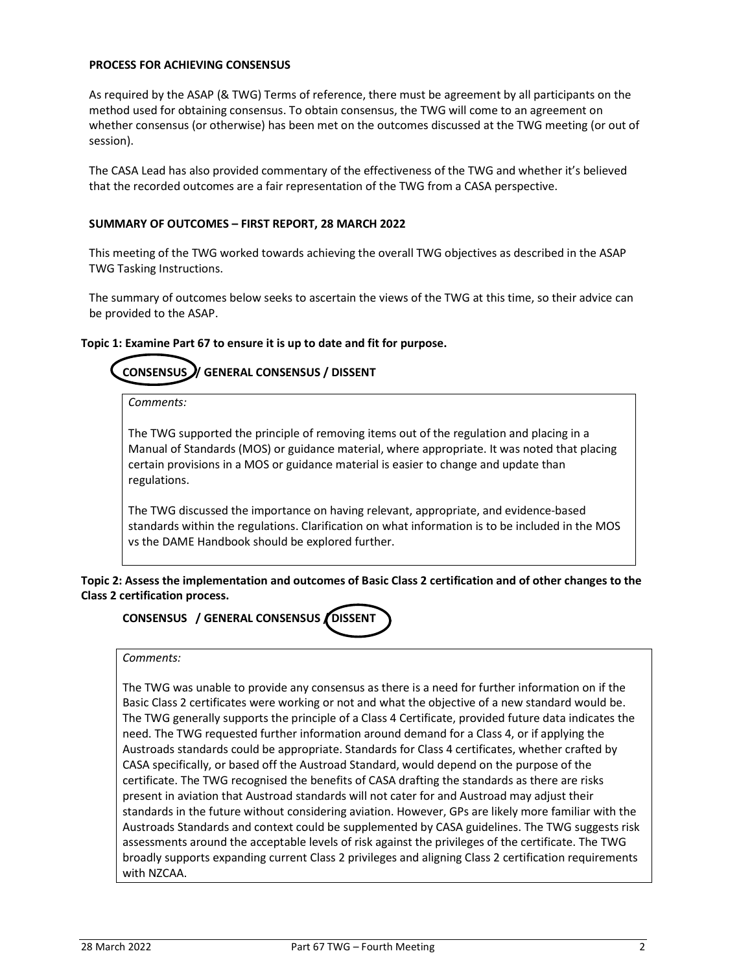#### PROCESS FOR ACHIEVING CONSENSUS

 As required by the ASAP (& TWG) Terms of reference, there must be agreement by all participants on the method used for obtaining consensus. To obtain consensus, the TWG will come to an agreement on whether consensus (or otherwise) has been met on the outcomes discussed at the TWG meeting (or out of session).

 The CASA Lead has also provided commentary of the effectiveness of the TWG and whether it's believed that the recorded outcomes are a fair representation of the TWG from a CASA perspective.

#### SUMMARY OF OUTCOMES – FIRST REPORT, 28 MARCH 2022

 This meeting of the TWG worked towards achieving the overall TWG objectives as described in the ASAP TWG Tasking Instructions.

 The summary of outcomes below seeks to ascertain the views of the TWG at this time, so their advice can be provided to the ASAP.

#### Topic 1: Examine Part 67 to ensure it is up to date and fit for purpose.

#### **CONSENSUS** CONSENSUS / GENERAL CONSENSUS / DISSENT

Comments:

 The TWG supported the principle of removing items out of the regulation and placing in a Manual of Standards (MOS) or guidance material, where appropriate. It was noted that placing certain provisions in a MOS or guidance material is easier to change and update than regulations.

 The TWG discussed the importance on having relevant, appropriate, and evidence-based standards within the regulations. Clarification on what information is to be included in the MOS vs the DAME Handbook should be explored further.

 Topic 2: Assess the implementation and outcomes of Basic Class 2 certification and of other changes to the Class 2 certification process.

# CONSENSUS / GENERAL CONSENSUS / DISSENT

#### Comments:

 The TWG was unable to provide any consensus as there is a need for further information on if the Basic Class 2 certificates were working or not and what the objective of a new standard would be. The TWG generally supports the principle of a Class 4 Certificate, provided future data indicates the need. The TWG requested further information around demand for a Class 4, or if applying the Austroads standards could be appropriate. Standards for Class 4 certificates, whether crafted by CASA specifically, or based off the Austroad Standard, would depend on the purpose of the certificate. The TWG recognised the benefits of CASA drafting the standards as there are risks present in aviation that Austroad standards will not cater for and Austroad may adjust their standards in the future without considering aviation. However, GPs are likely more familiar with the Austroads Standards and context could be supplemented by CASA guidelines. The TWG suggests risk assessments around the acceptable levels of risk against the privileges of the certificate. The TWG broadly supports expanding current Class 2 privileges and aligning Class 2 certification requirements with NZCAA.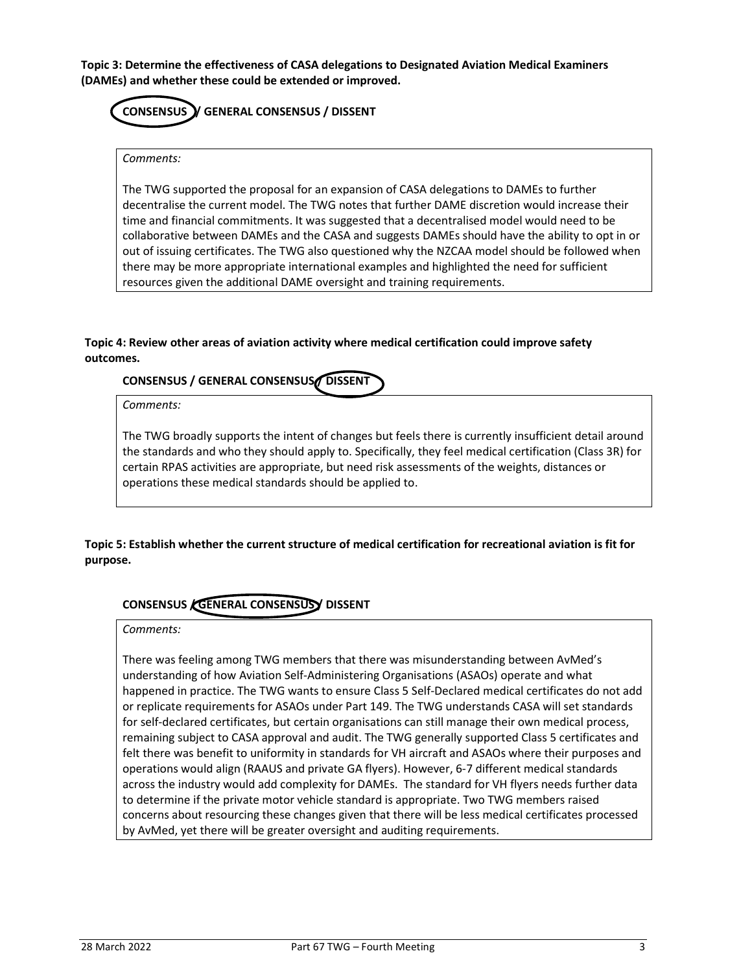Topic 3: Determine the effectiveness of CASA delegations to Designated Aviation Medical Examiners (DAMEs) and whether these could be extended or improved.

# CONSENSUS / GENERAL CONSENSUS / DISSENT

#### Comments:

 The TWG supported the proposal for an expansion of CASA delegations to DAMEs to further decentralise the current model. The TWG notes that further DAME discretion would increase their time and financial commitments. It was suggested that a decentralised model would need to be collaborative between DAMEs and the CASA and suggests DAMEs should have the ability to opt in or out of issuing certificates. The TWG also questioned why the NZCAA model should be followed when there may be more appropriate international examples and highlighted the need for sufficient resources given the additional DAME oversight and training requirements.

#### Topic 4: Review other areas of aviation activity where medical certification could improve safety outcomes.

# CONSENSUS / GENERAL CONSENSUS DISSENT

Comments:

 The TWG broadly supports the intent of changes but feels there is currently insufficient detail around the standards and who they should apply to. Specifically, they feel medical certification (Class 3R) for certain RPAS activities are appropriate, but need risk assessments of the weights, distances or operations these medical standards should be applied to.

 Topic 5: Establish whether the current structure of medical certification for recreational aviation is fit for purpose.

# CONSENSUS CENERAL CONSENSUSY DISSENT

#### Comments:

 There was feeling among TWG members that there was misunderstanding between AvMed's understanding of how Aviation Self-Administering Organisations (ASAOs) operate and what happened in practice. The TWG wants to ensure Class 5 Self-Declared medical certificates do not add or replicate requirements for ASAOs under Part 149. The TWG understands CASA will set standards for self-declared certificates, but certain organisations can still manage their own medical process, remaining subject to CASA approval and audit. The TWG generally supported Class 5 certificates and felt there was benefit to uniformity in standards for VH aircraft and ASAOs where their purposes and operations would align (RAAUS and private GA flyers). However, 6-7 different medical standards across the industry would add complexity for DAMEs. The standard for VH flyers needs further data to determine if the private motor vehicle standard is appropriate. Two TWG members raised concerns about resourcing these changes given that there will be less medical certificates processed by AvMed, yet there will be greater oversight and auditing requirements.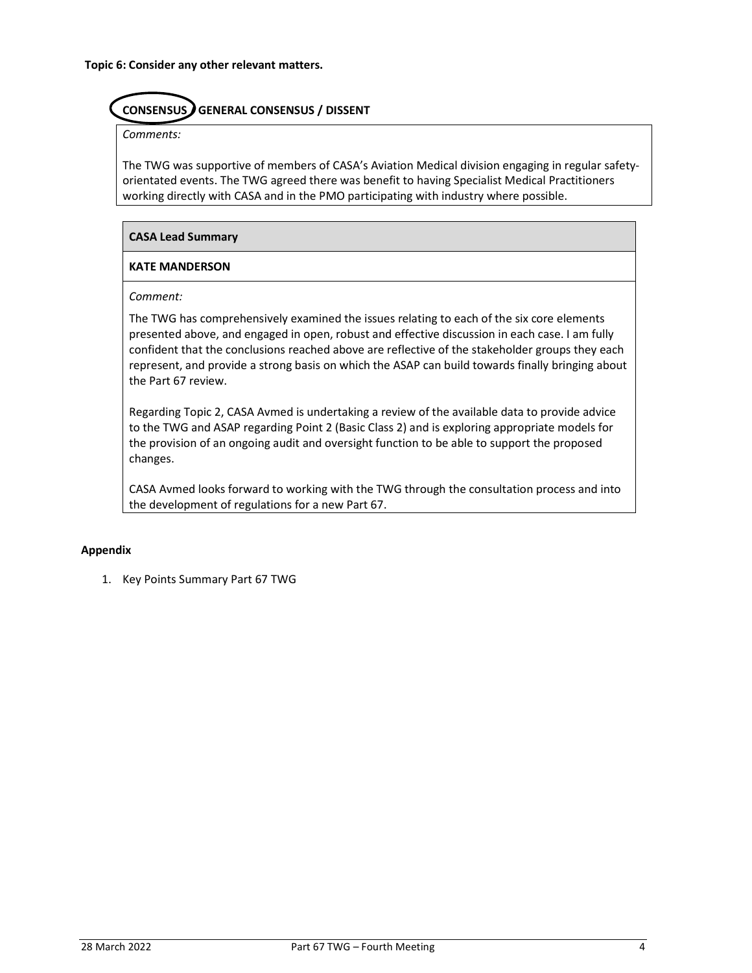#### **CONSENSUS** GENERAL CONSENSUS / DISSENT

Comments:

 The TWG was supportive of members of CASA's Aviation Medical division engaging in regular safety- orientated events. The TWG agreed there was benefit to having Specialist Medical Practitioners working directly with CASA and in the PMO participating with industry where possible.

## CASA Lead Summary

## KATE MANDERSON

Comment:

 The TWG has comprehensively examined the issues relating to each of the six core elements presented above, and engaged in open, robust and effective discussion in each case. I am fully confident that the conclusions reached above are reflective of the stakeholder groups they each represent, and provide a strong basis on which the ASAP can build towards finally bringing about the Part 67 review.

 Regarding Topic 2, CASA Avmed is undertaking a review of the available data to provide advice to the TWG and ASAP regarding Point 2 (Basic Class 2) and is exploring appropriate models for the provision of an ongoing audit and oversight function to be able to support the proposed changes.

 CASA Avmed looks forward to working with the TWG through the consultation process and into the development of regulations for a new Part 67.

## Appendix

1. Key Points Summary Part 67 TWG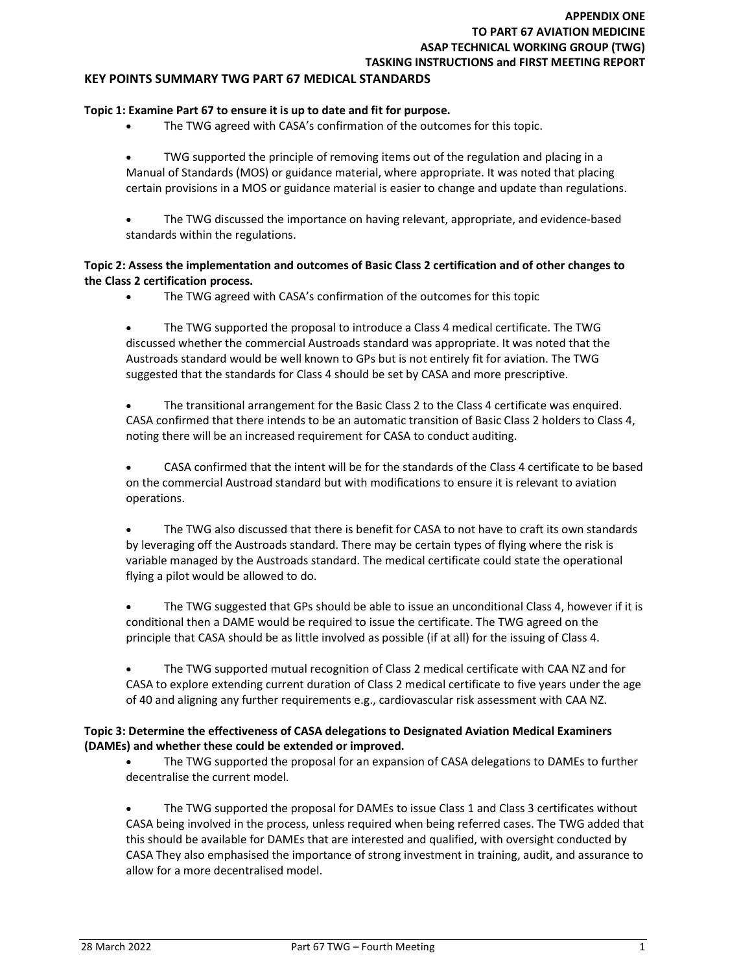## APPENDIX ONE TO PART 67 AVIATION MEDICINE ASAP TECHNICAL WORKING GROUP (TWG) TASKING INSTRUCTIONS and FIRST MEETING REPORT

#### KEY POINTS SUMMARY TWG PART 67 MEDICAL STANDARDS

#### Topic 1: Examine Part 67 to ensure it is up to date and fit for purpose.

The TWG agreed with CASA's confirmation of the outcomes for this topic.

 TWG supported the principle of removing items out of the regulation and placing in a Manual of Standards (MOS) or guidance material, where appropriate. It was noted that placing certain provisions in a MOS or guidance material is easier to change and update than regulations.

 The TWG discussed the importance on having relevant, appropriate, and evidence-based standards within the regulations.

#### Topic 2: Assess the implementation and outcomes of Basic Class 2 certification and of other changes to the Class 2 certification process.

The TWG agreed with CASA's confirmation of the outcomes for this topic

 The TWG supported the proposal to introduce a Class 4 medical certificate. The TWG discussed whether the commercial Austroads standard was appropriate. It was noted that the Austroads standard would be well known to GPs but is not entirely fit for aviation. The TWG suggested that the standards for Class 4 should be set by CASA and more prescriptive.

 The transitional arrangement for the Basic Class 2 to the Class 4 certificate was enquired. CASA confirmed that there intends to be an automatic transition of Basic Class 2 holders to Class 4, noting there will be an increased requirement for CASA to conduct auditing.

 CASA confirmed that the intent will be for the standards of the Class 4 certificate to be based on the commercial Austroad standard but with modifications to ensure it is relevant to aviation operations.

 The TWG also discussed that there is benefit for CASA to not have to craft its own standards by leveraging off the Austroads standard. There may be certain types of flying where the risk is variable managed by the Austroads standard. The medical certificate could state the operational flying a pilot would be allowed to do.

• The TWG suggested that GPs should be able to issue an unconditional Class 4, however if it is conditional then a DAME would be required to issue the certificate. The TWG agreed on the principle that CASA should be as little involved as possible (if at all) for the issuing of Class 4.

 The TWG supported mutual recognition of Class 2 medical certificate with CAA NZ and for CASA to explore extending current duration of Class 2 medical certificate to five years under the age of 40 and aligning any further requirements e.g., cardiovascular risk assessment with CAA NZ.

#### Topic 3: Determine the effectiveness of CASA delegations to Designated Aviation Medical Examiners (DAMEs) and whether these could be extended or improved.

 The TWG supported the proposal for an expansion of CASA delegations to DAMEs to further decentralise the current model.

 The TWG supported the proposal for DAMEs to issue Class 1 and Class 3 certificates without CASA being involved in the process, unless required when being referred cases. The TWG added that this should be available for DAMEs that are interested and qualified, with oversight conducted by CASA They also emphasised the importance of strong investment in training, audit, and assurance to allow for a more decentralised model.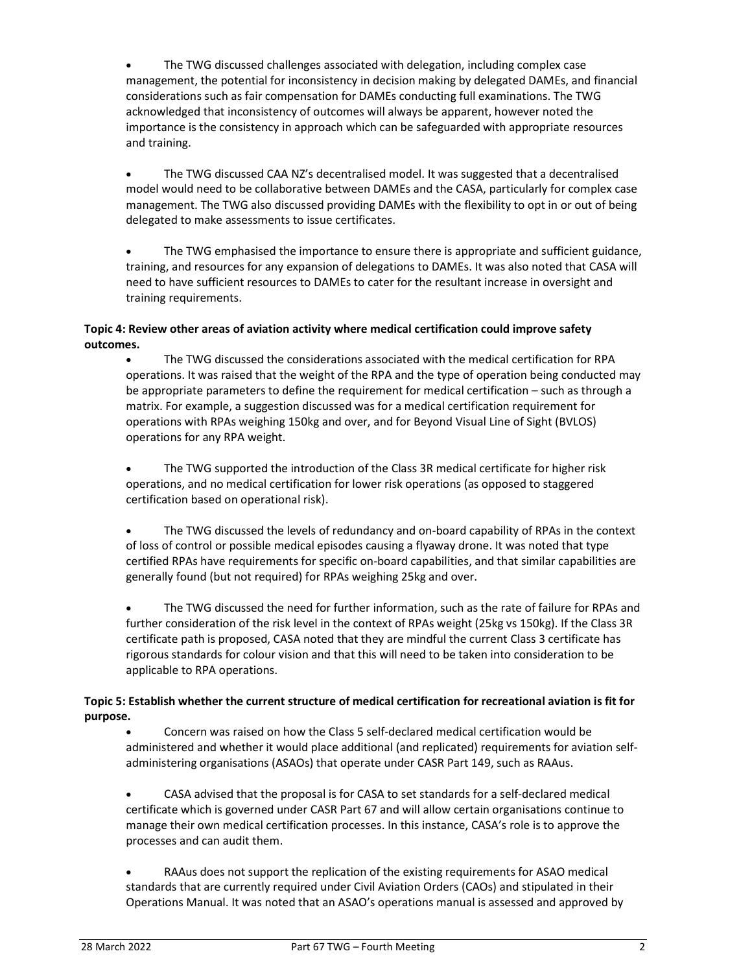The TWG discussed challenges associated with delegation, including complex case management, the potential for inconsistency in decision making by delegated DAMEs, and financial considerations such as fair compensation for DAMEs conducting full examinations. The TWG acknowledged that inconsistency of outcomes will always be apparent, however noted the importance is the consistency in approach which can be safeguarded with appropriate resources and training.

 The TWG discussed CAA NZ's decentralised model. It was suggested that a decentralised model would need to be collaborative between DAMEs and the CASA, particularly for complex case management. The TWG also discussed providing DAMEs with the flexibility to opt in or out of being delegated to make assessments to issue certificates.

 The TWG emphasised the importance to ensure there is appropriate and sufficient guidance, training, and resources for any expansion of delegations to DAMEs. It was also noted that CASA will need to have sufficient resources to DAMEs to cater for the resultant increase in oversight and training requirements.

# Topic 4: Review other areas of aviation activity where medical certification could improve safety outcomes.

 The TWG discussed the considerations associated with the medical certification for RPA operations. It was raised that the weight of the RPA and the type of operation being conducted may be appropriate parameters to define the requirement for medical certification – such as through a matrix. For example, a suggestion discussed was for a medical certification requirement for operations with RPAs weighing 150kg and over, and for Beyond Visual Line of Sight (BVLOS) operations for any RPA weight.

 The TWG supported the introduction of the Class 3R medical certificate for higher risk operations, and no medical certification for lower risk operations (as opposed to staggered certification based on operational risk).

 The TWG discussed the levels of redundancy and on-board capability of RPAs in the context of loss of control or possible medical episodes causing a flyaway drone. It was noted that type certified RPAs have requirements for specific on-board capabilities, and that similar capabilities are generally found (but not required) for RPAs weighing 25kg and over.

 The TWG discussed the need for further information, such as the rate of failure for RPAs and further consideration of the risk level in the context of RPAs weight (25kg vs 150kg). If the Class 3R certificate path is proposed, CASA noted that they are mindful the current Class 3 certificate has rigorous standards for colour vision and that this will need to be taken into consideration to be applicable to RPA operations.

# Topic 5: Establish whether the current structure of medical certification for recreational aviation is fit for purpose.

 Concern was raised on how the Class 5 self-declared medical certification would be administered and whether it would place additional (and replicated) requirements for aviation self-administering organisations (ASAOs) that operate under CASR Part 149, such as RAAus.

 CASA advised that the proposal is for CASA to set standards for a self-declared medical certificate which is governed under CASR Part 67 and will allow certain organisations continue to manage their own medical certification processes. In this instance, CASA's role is to approve the processes and can audit them.

 RAAus does not support the replication of the existing requirements for ASAO medical standards that are currently required under Civil Aviation Orders (CAOs) and stipulated in their Operations Manual. It was noted that an ASAO's operations manual is assessed and approved by